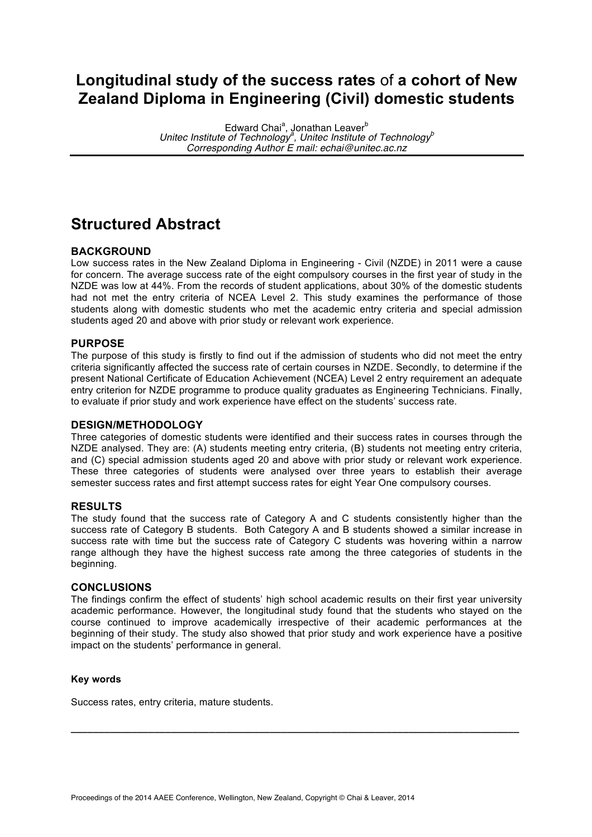## **Longitudinal study of the success rates** of **a cohort of New Zealand Diploma in Engineering (Civil) domestic students**

Edward Chai<sup>a</sup>, Jonathan Leaver<sup>b</sup> *Unitec Institute of Technology<sup>a</sup> , Unitec Institute of Technology<sup>b</sup> Corresponding Author E mail: echai@unitec.ac.nz*

# **Structured Abstract**

#### **BACKGROUND**

Low success rates in the New Zealand Diploma in Engineering - Civil (NZDE) in 2011 were a cause for concern. The average success rate of the eight compulsory courses in the first year of study in the NZDE was low at 44%. From the records of student applications, about 30% of the domestic students had not met the entry criteria of NCEA Level 2. This study examines the performance of those students along with domestic students who met the academic entry criteria and special admission students aged 20 and above with prior study or relevant work experience.

#### **PURPOSE**

The purpose of this study is firstly to find out if the admission of students who did not meet the entry criteria significantly affected the success rate of certain courses in NZDE. Secondly, to determine if the present National Certificate of Education Achievement (NCEA) Level 2 entry requirement an adequate entry criterion for NZDE programme to produce quality graduates as Engineering Technicians. Finally, to evaluate if prior study and work experience have effect on the students' success rate.

#### **DESIGN/METHODOLOGY**

Three categories of domestic students were identified and their success rates in courses through the NZDE analysed. They are: (A) students meeting entry criteria, (B) students not meeting entry criteria, and (C) special admission students aged 20 and above with prior study or relevant work experience. These three categories of students were analysed over three years to establish their average semester success rates and first attempt success rates for eight Year One compulsory courses.

#### **RESULTS**

The study found that the success rate of Category A and C students consistently higher than the success rate of Category B students. Both Category A and B students showed a similar increase in success rate with time but the success rate of Category C students was hovering within a narrow range although they have the highest success rate among the three categories of students in the beginning.

#### **CONCLUSIONS**

The findings confirm the effect of students' high school academic results on their first year university academic performance. However, the longitudinal study found that the students who stayed on the course continued to improve academically irrespective of their academic performances at the beginning of their study. The study also showed that prior study and work experience have a positive impact on the students' performance in general.

**\_\_\_\_\_\_\_\_\_\_\_\_\_\_\_\_\_\_\_\_\_\_\_\_\_\_\_\_\_\_\_\_\_\_\_\_\_\_\_\_\_\_\_\_\_\_\_\_\_\_\_\_\_\_\_\_\_\_\_\_\_\_\_\_\_\_\_\_\_\_\_\_\_\_\_\_\_\_\_\_\_**

#### **Key words**

Success rates, entry criteria, mature students.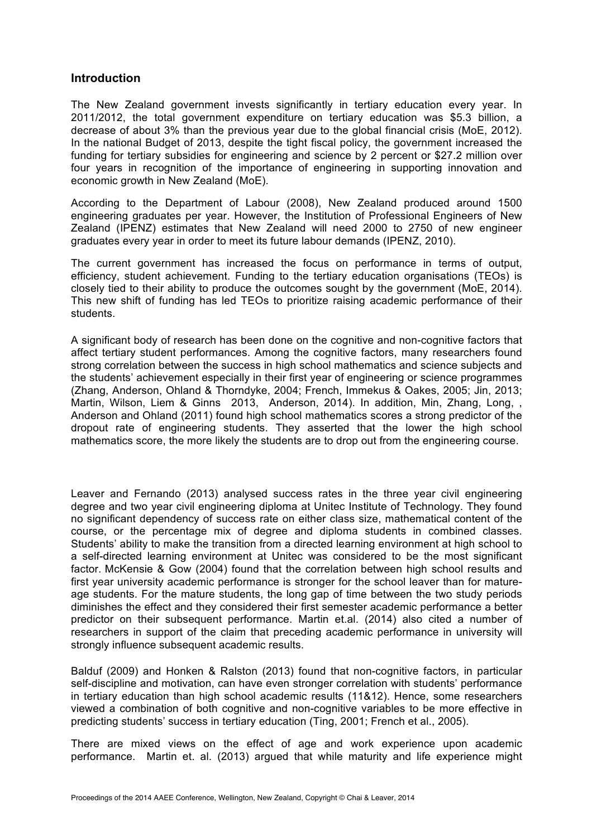## **Introduction**

The New Zealand government invests significantly in tertiary education every year. In 2011/2012, the total government expenditure on tertiary education was \$5.3 billion, a decrease of about 3% than the previous year due to the global financial crisis (MoE, 2012). In the national Budget of 2013, despite the tight fiscal policy, the government increased the funding for tertiary subsidies for engineering and science by 2 percent or \$27.2 million over four years in recognition of the importance of engineering in supporting innovation and economic growth in New Zealand (MoE).

According to the Department of Labour (2008), New Zealand produced around 1500 engineering graduates per year. However, the Institution of Professional Engineers of New Zealand (IPENZ) estimates that New Zealand will need 2000 to 2750 of new engineer graduates every year in order to meet its future labour demands (IPENZ, 2010).

The current government has increased the focus on performance in terms of output, efficiency, student achievement. Funding to the tertiary education organisations (TEOs) is closely tied to their ability to produce the outcomes sought by the government (MoE, 2014). This new shift of funding has led TEOs to prioritize raising academic performance of their students.

A significant body of research has been done on the cognitive and non-cognitive factors that affect tertiary student performances. Among the cognitive factors, many researchers found strong correlation between the success in high school mathematics and science subjects and the students' achievement especially in their first year of engineering or science programmes (Zhang, Anderson, Ohland & Thorndyke, 2004; French, Immekus & Oakes, 2005; Jin, 2013; Martin, Wilson, Liem & Ginns 2013, Anderson, 2014). In addition, Min, Zhang, Long, , Anderson and Ohland (2011) found high school mathematics scores a strong predictor of the dropout rate of engineering students. They asserted that the lower the high school mathematics score, the more likely the students are to drop out from the engineering course.

Leaver and Fernando (2013) analysed success rates in the three year civil engineering degree and two year civil engineering diploma at Unitec Institute of Technology. They found no significant dependency of success rate on either class size, mathematical content of the course, or the percentage mix of degree and diploma students in combined classes. Students' ability to make the transition from a directed learning environment at high school to a self-directed learning environment at Unitec was considered to be the most significant factor. McKensie & Gow (2004) found that the correlation between high school results and first year university academic performance is stronger for the school leaver than for matureage students. For the mature students, the long gap of time between the two study periods diminishes the effect and they considered their first semester academic performance a better predictor on their subsequent performance. Martin et.al. (2014) also cited a number of researchers in support of the claim that preceding academic performance in university will strongly influence subsequent academic results.

Balduf (2009) and Honken & Ralston (2013) found that non-cognitive factors, in particular self-discipline and motivation, can have even stronger correlation with students' performance in tertiary education than high school academic results (11&12). Hence, some researchers viewed a combination of both cognitive and non-cognitive variables to be more effective in predicting students' success in tertiary education (Ting, 2001; French et al., 2005).

There are mixed views on the effect of age and work experience upon academic performance. Martin et. al. (2013) argued that while maturity and life experience might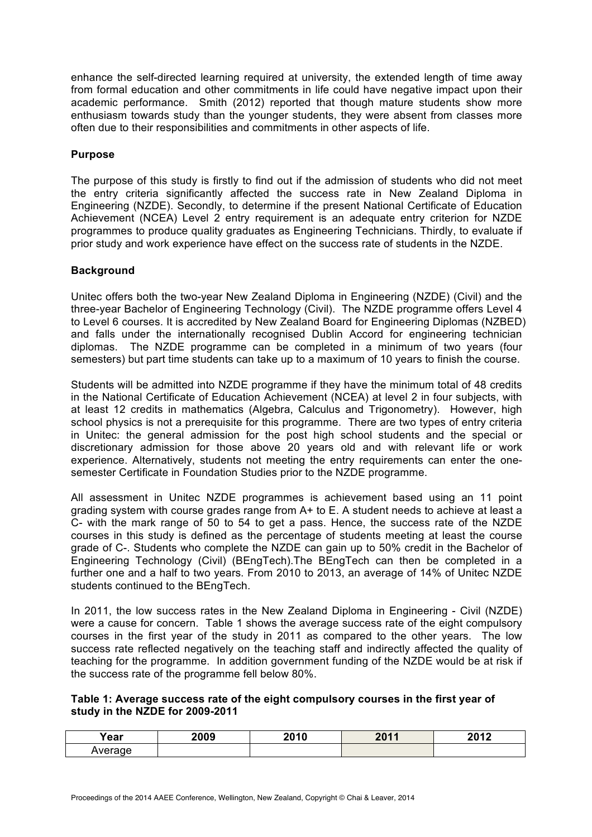enhance the self-directed learning required at university, the extended length of time away from formal education and other commitments in life could have negative impact upon their academic performance. Smith (2012) reported that though mature students show more enthusiasm towards study than the younger students, they were absent from classes more often due to their responsibilities and commitments in other aspects of life.

#### **Purpose**

The purpose of this study is firstly to find out if the admission of students who did not meet the entry criteria significantly affected the success rate in New Zealand Diploma in Engineering (NZDE). Secondly, to determine if the present National Certificate of Education Achievement (NCEA) Level 2 entry requirement is an adequate entry criterion for NZDE programmes to produce quality graduates as Engineering Technicians. Thirdly, to evaluate if prior study and work experience have effect on the success rate of students in the NZDE.

#### **Background**

Unitec offers both the two-year New Zealand Diploma in Engineering (NZDE) (Civil) and the three-year Bachelor of Engineering Technology (Civil). The NZDE programme offers Level 4 to Level 6 courses. It is accredited by New Zealand Board for Engineering Diplomas (NZBED) and falls under the internationally recognised Dublin Accord for engineering technician diplomas. The NZDE programme can be completed in a minimum of two years (four semesters) but part time students can take up to a maximum of 10 years to finish the course.

Students will be admitted into NZDE programme if they have the minimum total of 48 credits in the National Certificate of Education Achievement (NCEA) at level 2 in four subjects, with at least 12 credits in mathematics (Algebra, Calculus and Trigonometry). However, high school physics is not a prerequisite for this programme. There are two types of entry criteria in Unitec: the general admission for the post high school students and the special or discretionary admission for those above 20 years old and with relevant life or work experience. Alternatively, students not meeting the entry requirements can enter the onesemester Certificate in Foundation Studies prior to the NZDE programme.

All assessment in Unitec NZDE programmes is achievement based using an 11 point grading system with course grades range from A+ to E. A student needs to achieve at least a C- with the mark range of 50 to 54 to get a pass. Hence, the success rate of the NZDE courses in this study is defined as the percentage of students meeting at least the course grade of C-. Students who complete the NZDE can gain up to 50% credit in the Bachelor of Engineering Technology (Civil) (BEngTech).The BEngTech can then be completed in a further one and a half to two years. From 2010 to 2013, an average of 14% of Unitec NZDE students continued to the BEngTech.

In 2011, the low success rates in the New Zealand Diploma in Engineering - Civil (NZDE) were a cause for concern. Table 1 shows the average success rate of the eight compulsory courses in the first year of the study in 2011 as compared to the other years. The low success rate reflected negatively on the teaching staff and indirectly affected the quality of teaching for the programme. In addition government funding of the NZDE would be at risk if the success rate of the programme fell below 80%.

#### **Table 1: Average success rate of the eight compulsory courses in the first year of study in the NZDE for 2009-2011**

| . .<br>'ear | nnnn<br>-UUJ | <b>0040</b><br>ıι | $\bigcap A$ | <b>0010</b> |
|-------------|--------------|-------------------|-------------|-------------|
|             |              |                   |             |             |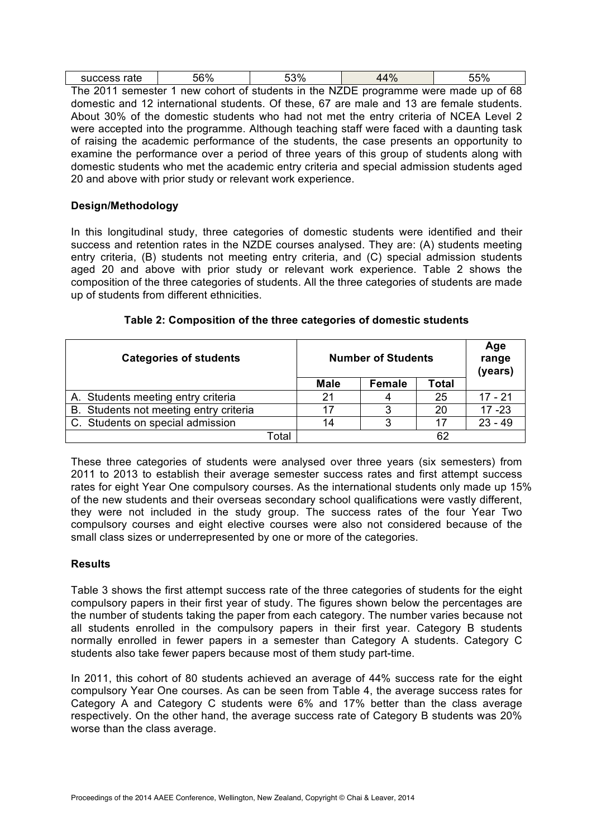| success rate | 56% | 53%                                                                                 | 44% | 55% |
|--------------|-----|-------------------------------------------------------------------------------------|-----|-----|
|              |     | The 2011 semester 1 new cohort of students in the NZDE programme were made up of 68 |     |     |

domestic and 12 international students. Of these, 67 are male and 13 are female students. About 30% of the domestic students who had not met the entry criteria of NCEA Level 2 were accepted into the programme. Although teaching staff were faced with a daunting task of raising the academic performance of the students, the case presents an opportunity to examine the performance over a period of three years of this group of students along with domestic students who met the academic entry criteria and special admission students aged 20 and above with prior study or relevant work experience.

## **Design/Methodology**

In this longitudinal study, three categories of domestic students were identified and their success and retention rates in the NZDE courses analysed. They are: (A) students meeting entry criteria, (B) students not meeting entry criteria, and (C) special admission students aged 20 and above with prior study or relevant work experience. Table 2 shows the composition of the three categories of students. All the three categories of students are made up of students from different ethnicities.

| <b>Categories of students</b>          |             | <b>Number of Students</b> |              |           |
|----------------------------------------|-------------|---------------------------|--------------|-----------|
|                                        | <b>Male</b> | <b>Female</b>             | <b>Total</b> |           |
| A. Students meeting entry criteria     | 21          |                           | 25           | $17 - 21$ |
| B. Students not meeting entry criteria | 17          | 3                         | 20           | $17 - 23$ |
| C. Students on special admission       | 14          | 3                         |              | $23 - 49$ |
| Total                                  |             |                           |              |           |

## **Table 2: Composition of the three categories of domestic students**

These three categories of students were analysed over three years (six semesters) from 2011 to 2013 to establish their average semester success rates and first attempt success rates for eight Year One compulsory courses. As the international students only made up 15% of the new students and their overseas secondary school qualifications were vastly different, they were not included in the study group. The success rates of the four Year Two compulsory courses and eight elective courses were also not considered because of the small class sizes or underrepresented by one or more of the categories.

## **Results**

Table 3 shows the first attempt success rate of the three categories of students for the eight compulsory papers in their first year of study. The figures shown below the percentages are the number of students taking the paper from each category. The number varies because not all students enrolled in the compulsory papers in their first year. Category B students normally enrolled in fewer papers in a semester than Category A students. Category C students also take fewer papers because most of them study part-time.

In 2011, this cohort of 80 students achieved an average of 44% success rate for the eight compulsory Year One courses. As can be seen from Table 4, the average success rates for Category A and Category C students were 6% and 17% better than the class average respectively. On the other hand, the average success rate of Category B students was 20% worse than the class average.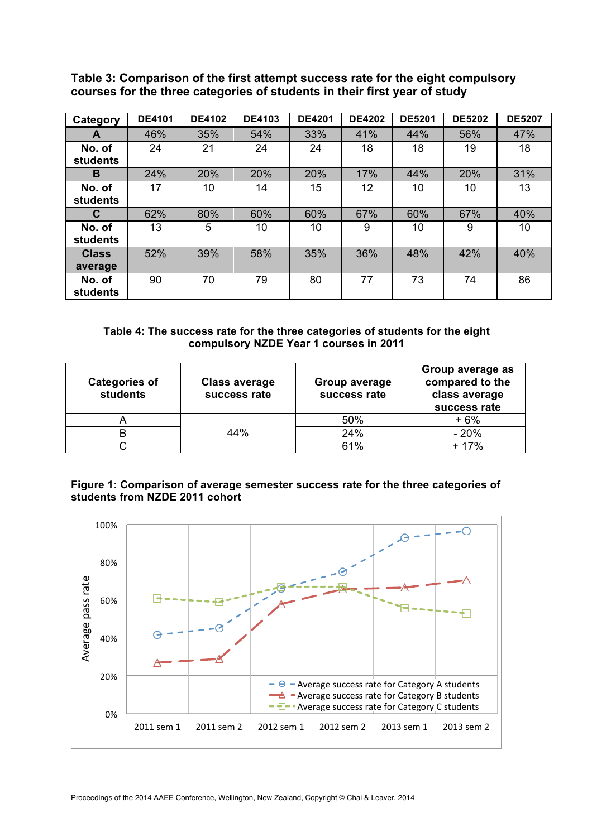| Category        | <b>DE4101</b> | <b>DE4102</b> | <b>DE4103</b> | <b>DE4201</b> | <b>DE4202</b> | <b>DE5201</b> | <b>DE5202</b> | <b>DE5207</b> |
|-----------------|---------------|---------------|---------------|---------------|---------------|---------------|---------------|---------------|
| A               | 46%           | 35%           | 54%           | 33%           | 41%           | 44%           | 56%           | 47%           |
| No. of          | 24            | 21            | 24            | 24            | 18            | 18            | 19            | 18            |
| <b>students</b> |               |               |               |               |               |               |               |               |
| B               | 24%           | 20%           | 20%           | 20%           | 17%           | 44%           | 20%           | 31%           |
| No. of          | 17            | 10            | 14            | 15            | 12            | 10            | 10            | 13            |
| students        |               |               |               |               |               |               |               |               |
| C               | 62%           | 80%           | 60%           | 60%           | 67%           | 60%           | 67%           | 40%           |
| No. of          | 13            | 5             | 10            | 10            | 9             | 10            | 9             | 10            |
| students        |               |               |               |               |               |               |               |               |
| <b>Class</b>    | 52%           | 39%           | 58%           | 35%           | 36%           | 48%           | 42%           | 40%           |
| average         |               |               |               |               |               |               |               |               |
| No. of          | 90            | 70            | 79            | 80            | 77            | 73            | 74            | 86            |
| <b>students</b> |               |               |               |               |               |               |               |               |

**Table 3: Comparison of the first attempt success rate for the eight compulsory courses for the three categories of students in their first year of study**

#### **Table 4: The success rate for the three categories of students for the eight compulsory NZDE Year 1 courses in 2011**

| <b>Categories of</b><br>students | <b>Class average</b><br>success rate | Group average<br>success rate | Group average as<br>compared to the<br>class average<br>success rate |
|----------------------------------|--------------------------------------|-------------------------------|----------------------------------------------------------------------|
|                                  |                                      | 50%                           | + 6%                                                                 |
|                                  | 44%                                  | 24%                           | $-20%$                                                               |
|                                  |                                      | 61%                           | + 17%                                                                |

## **Figure 1: Comparison of average semester success rate for the three categories of students from NZDE 2011 cohort**

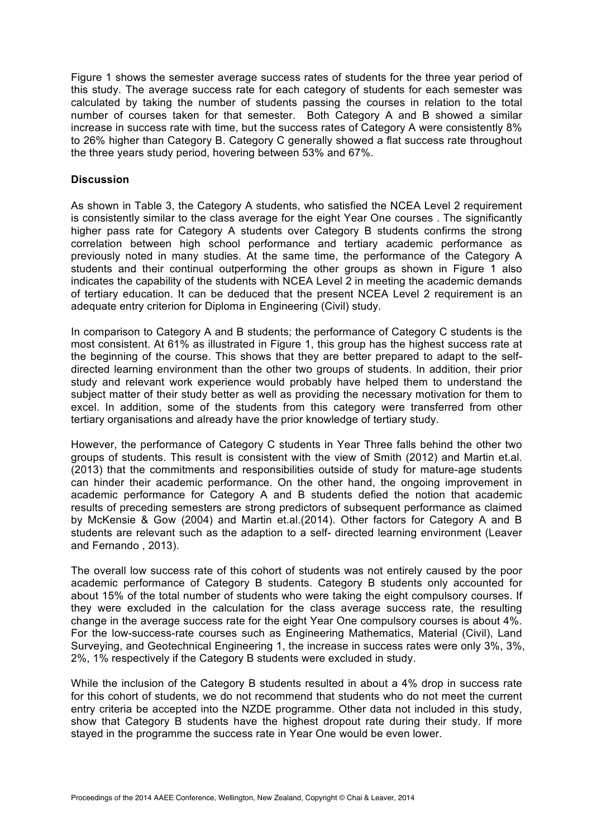Figure 1 shows the semester average success rates of students for the three year period of this study. The average success rate for each category of students for each semester was calculated by taking the number of students passing the courses in relation to the total number of courses taken for that semester. Both Category A and B showed a similar increase in success rate with time, but the success rates of Category A were consistently 8% to 26% higher than Category B. Category C generally showed a flat success rate throughout the three years study period, hovering between 53% and 67%.

#### **Discussion**

As shown in Table 3, the Category A students, who satisfied the NCEA Level 2 requirement is consistently similar to the class average for the eight Year One courses . The significantly higher pass rate for Category A students over Category B students confirms the strong correlation between high school performance and tertiary academic performance as previously noted in many studies. At the same time, the performance of the Category A students and their continual outperforming the other groups as shown in Figure 1 also indicates the capability of the students with NCEA Level 2 in meeting the academic demands of tertiary education. It can be deduced that the present NCEA Level 2 requirement is an adequate entry criterion for Diploma in Engineering (Civil) study.

In comparison to Category A and B students; the performance of Category C students is the most consistent. At 61% as illustrated in Figure 1, this group has the highest success rate at the beginning of the course. This shows that they are better prepared to adapt to the selfdirected learning environment than the other two groups of students. In addition, their prior study and relevant work experience would probably have helped them to understand the subject matter of their study better as well as providing the necessary motivation for them to excel. In addition, some of the students from this category were transferred from other tertiary organisations and already have the prior knowledge of tertiary study.

However, the performance of Category C students in Year Three falls behind the other two groups of students. This result is consistent with the view of Smith (2012) and Martin et.al. (2013) that the commitments and responsibilities outside of study for mature-age students can hinder their academic performance. On the other hand, the ongoing improvement in academic performance for Category A and B students defied the notion that academic results of preceding semesters are strong predictors of subsequent performance as claimed by McKensie & Gow (2004) and Martin et.al.(2014). Other factors for Category A and B students are relevant such as the adaption to a self- directed learning environment (Leaver and Fernando , 2013).

The overall low success rate of this cohort of students was not entirely caused by the poor academic performance of Category B students. Category B students only accounted for about 15% of the total number of students who were taking the eight compulsory courses. If they were excluded in the calculation for the class average success rate, the resulting change in the average success rate for the eight Year One compulsory courses is about 4%. For the low-success-rate courses such as Engineering Mathematics, Material (Civil), Land Surveying, and Geotechnical Engineering 1, the increase in success rates were only 3%, 3%, 2%, 1% respectively if the Category B students were excluded in study.

While the inclusion of the Category B students resulted in about a 4% drop in success rate for this cohort of students, we do not recommend that students who do not meet the current entry criteria be accepted into the NZDE programme. Other data not included in this study, show that Category B students have the highest dropout rate during their study. If more stayed in the programme the success rate in Year One would be even lower.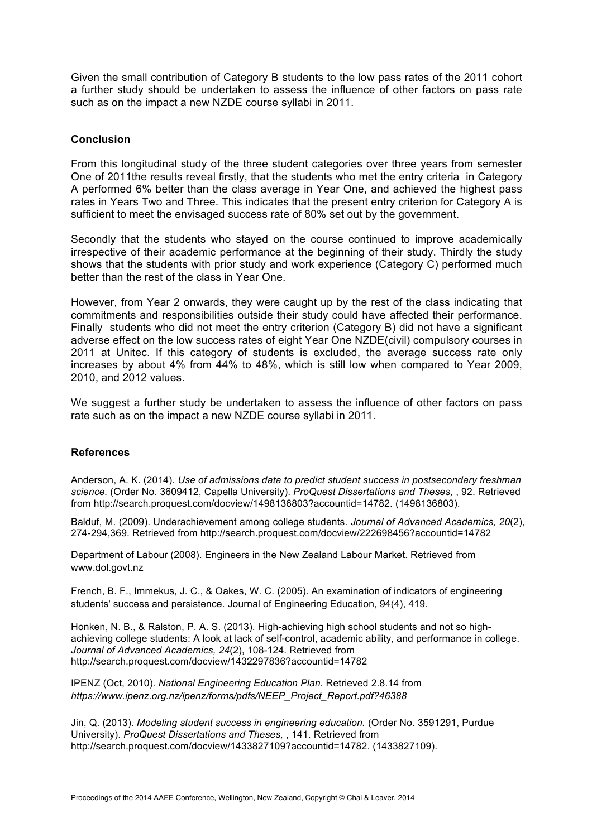Given the small contribution of Category B students to the low pass rates of the 2011 cohort a further study should be undertaken to assess the influence of other factors on pass rate such as on the impact a new NZDE course syllabi in 2011.

#### **Conclusion**

From this longitudinal study of the three student categories over three years from semester One of 2011the results reveal firstly, that the students who met the entry criteria in Category A performed 6% better than the class average in Year One, and achieved the highest pass rates in Years Two and Three. This indicates that the present entry criterion for Category A is sufficient to meet the envisaged success rate of 80% set out by the government.

Secondly that the students who stayed on the course continued to improve academically irrespective of their academic performance at the beginning of their study. Thirdly the study shows that the students with prior study and work experience (Category C) performed much better than the rest of the class in Year One.

However, from Year 2 onwards, they were caught up by the rest of the class indicating that commitments and responsibilities outside their study could have affected their performance. Finally students who did not meet the entry criterion (Category B) did not have a significant adverse effect on the low success rates of eight Year One NZDE(civil) compulsory courses in 2011 at Unitec. If this category of students is excluded, the average success rate only increases by about 4% from 44% to 48%, which is still low when compared to Year 2009, 2010, and 2012 values.

We suggest a further study be undertaken to assess the influence of other factors on pass rate such as on the impact a new NZDE course syllabi in 2011.

## **References**

Anderson, A. K. (2014). *Use of admissions data to predict student success in postsecondary freshman science.* (Order No. 3609412, Capella University). *ProQuest Dissertations and Theses,* , 92. Retrieved from http://search.proquest.com/docview/1498136803?accountid=14782. (1498136803).

Balduf, M. (2009). Underachievement among college students. *Journal of Advanced Academics, 20*(2), 274-294,369. Retrieved from http://search.proquest.com/docview/222698456?accountid=14782

Department of Labour (2008). Engineers in the New Zealand Labour Market. Retrieved from www.dol.govt.nz

French, B. F., Immekus, J. C., & Oakes, W. C. (2005). An examination of indicators of engineering students' success and persistence. Journal of Engineering Education, 94(4), 419.

Honken, N. B., & Ralston, P. A. S. (2013). High-achieving high school students and not so highachieving college students: A look at lack of self-control, academic ability, and performance in college. *Journal of Advanced Academics, 24*(2), 108-124. Retrieved from http://search.proquest.com/docview/1432297836?accountid=14782

IPENZ (Oct, 2010). *National Engineering Education Plan.* Retrieved 2.8.14 from *https://www.ipenz.org.nz/ipenz/forms/pdfs/NEEP\_Project\_Report.pdf?46388*

Jin, Q. (2013). *Modeling student success in engineering education.* (Order No. 3591291, Purdue University). *ProQuest Dissertations and Theses,* , 141. Retrieved from http://search.proquest.com/docview/1433827109?accountid=14782. (1433827109).